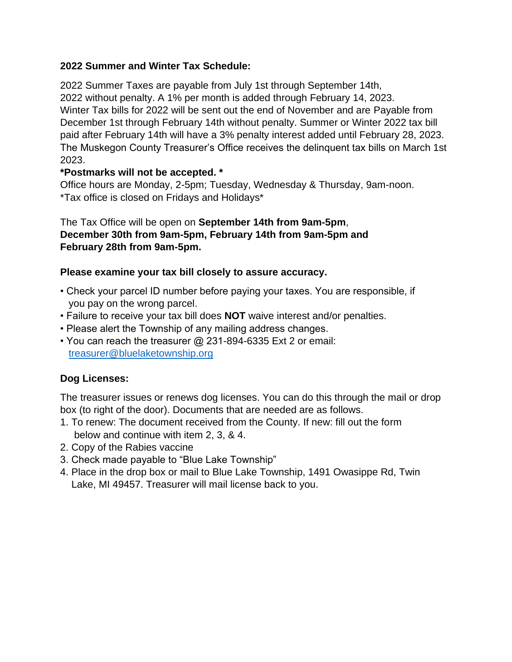## **2022 Summer and Winter Tax Schedule:**

2022 Summer Taxes are payable from July 1st through September 14th, 2022 without penalty. A 1% per month is added through February 14, 2023. Winter Tax bills for 2022 will be sent out the end of November and are Payable from December 1st through February 14th without penalty. Summer or Winter 2022 tax bill paid after February 14th will have a 3% penalty interest added until February 28, 2023. The Muskegon County Treasurer's Office receives the delinquent tax bills on March 1st 2023.

# **\*Postmarks will not be accepted. \***

Office hours are Monday, 2-5pm; Tuesday, Wednesday & Thursday, 9am-noon. \*Tax office is closed on Fridays and Holidays\*

# The Tax Office will be open on **September 14th from 9am-5pm**, **December 30th from 9am-5pm, February 14th from 9am-5pm and February 28th from 9am-5pm.**

### **Please examine your tax bill closely to assure accuracy.**

- Check your parcel ID number before paying your taxes. You are responsible, if you pay on the wrong parcel.
- Failure to receive your tax bill does **NOT** waive interest and/or penalties.
- Please alert the Township of any mailing address changes.
- You can reach the treasurer @ 231-894-6335 Ext 2 or email: [treasurer@bluelaketownship.org](mailto:treasurer@bluelaketownship.org)

# **Dog Licenses:**

The treasurer issues or renews dog licenses. You can do this through the mail or drop box (to right of the door). Documents that are needed are as follows.

- 1. To renew: The document received from the County. If new: fill out the form below and continue with item 2, 3, & 4.
- 2. Copy of the Rabies vaccine
- 3. Check made payable to "Blue Lake Township"
- 4. Place in the drop box or mail to Blue Lake Township, 1491 Owasippe Rd, Twin Lake, MI 49457. Treasurer will mail license back to you.